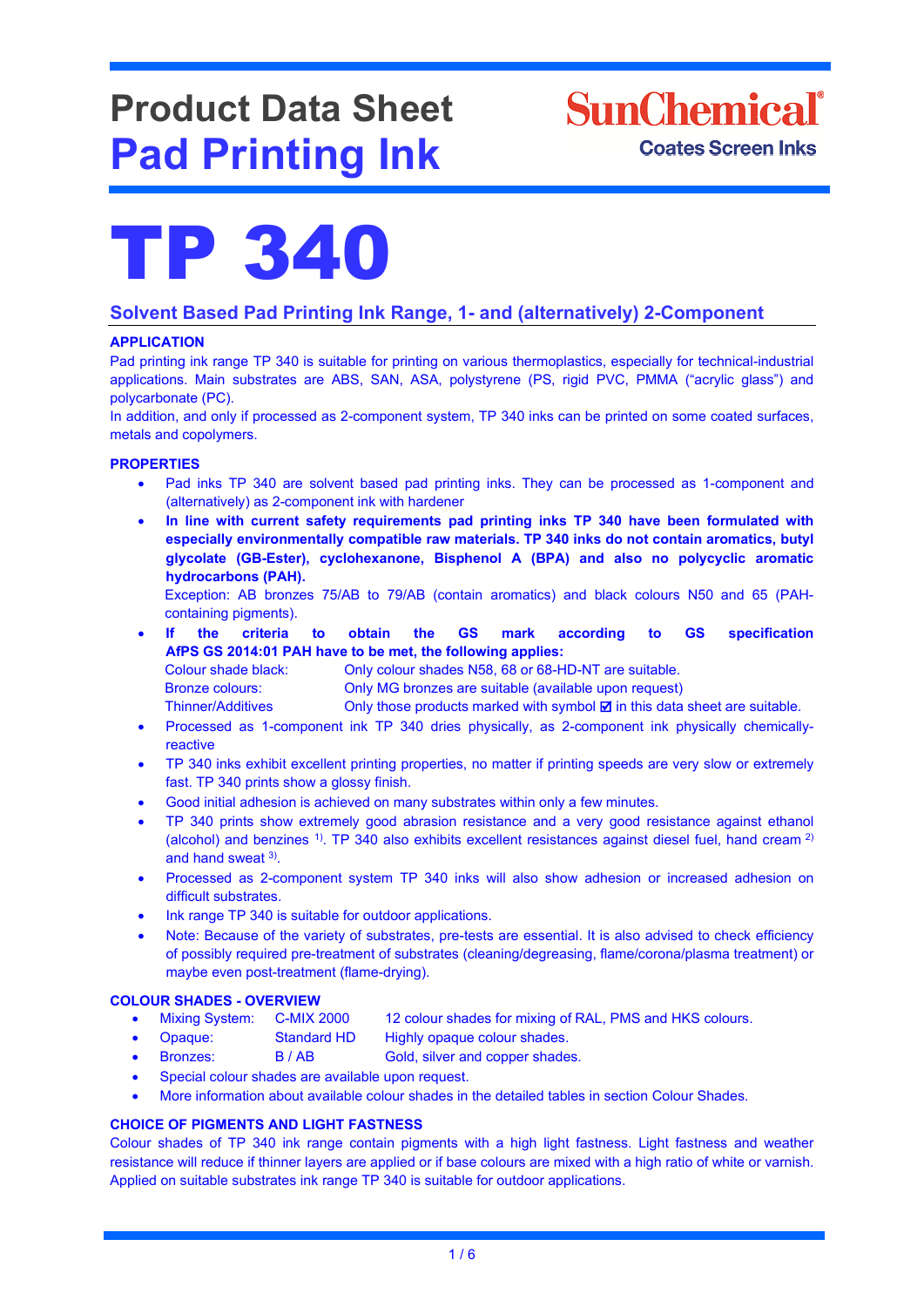# **Product Data Sheet Pad Printing Ink**

# **SunChemical**<sup>®</sup> **Coates Screen Inks**



### **Solvent Based Pad Printing Ink Range, 1- and (alternatively) 2-Component**

### **APPLICATION**

Pad printing ink range TP 340 is suitable for printing on various thermoplastics, especially for technical-industrial applications. Main substrates are ABS, SAN, ASA, polystyrene (PS, rigid PVC, PMMA ("acrylic glass") and polycarbonate (PC).

In addition, and only if processed as 2-component system, TP 340 inks can be printed on some coated surfaces, metals and copolymers.

#### **PROPERTIES**

- Pad inks TP 340 are solvent based pad printing inks. They can be processed as 1-component and (alternatively) as 2-component ink with hardener
- **In line with current safety requirements pad printing inks TP 340 have been formulated with especially environmentally compatible raw materials. TP 340 inks do not contain aromatics, butyl glycolate (GB-Ester), cyclohexanone, Bisphenol A (BPA) and also no polycyclic aromatic hydrocarbons (PAH).**

Exception: AB bronzes 75/AB to 79/AB (contain aromatics) and black colours N50 and 65 (PAHcontaining pigments).

• **If the criteria to obtain the GS mark according to GS specification AfPS GS 2014:01 PAH have to be met, the following applies:** 

Colour shade black: Only colour shades N58, 68 or 68-HD-NT are suitable.

Bronze colours: Only MG bronzes are suitable (available upon request)

Thinner/Additives Only those products marked with symbol  $\boxtimes$  in this data sheet are suitable.

- Processed as 1-component ink TP 340 dries physically, as 2-component ink physically chemicallyreactive
- TP 340 inks exhibit excellent printing properties, no matter if printing speeds are very slow or extremely fast. TP 340 prints show a glossy finish.
- Good initial adhesion is achieved on many substrates within only a few minutes.
- TP 340 prints show extremely good abrasion resistance and a very good resistance against ethanol (alcohol) and benzines <sup>1)</sup>. TP 340 also exhibits excellent resistances against diesel fuel, hand cream <sup>2)</sup> and hand sweat 3).
- Processed as 2-component system TP 340 inks will also show adhesion or increased adhesion on difficult substrates.
- Ink range TP 340 is suitable for outdoor applications.
- Note: Because of the variety of substrates, pre-tests are essential. It is also advised to check efficiency of possibly required pre-treatment of substrates (cleaning/degreasing, flame/corona/plasma treatment) or maybe even post-treatment (flame-drying).

### **COLOUR SHADES - OVERVIEW**

- Mixing System: C-MIX 2000 12 colour shades for mixing of RAL, PMS and HKS colours.
- Opaque: Standard HD Highly opaque colour shades.
- **Bronzes:** B / AB Gold, silver and copper shades.
- Special colour shades are available upon request.
- More information about available colour shades in the detailed tables in section Colour Shades.

### **CHOICE OF PIGMENTS AND LIGHT FASTNESS**

Colour shades of TP 340 ink range contain pigments with a high light fastness. Light fastness and weather resistance will reduce if thinner layers are applied or if base colours are mixed with a high ratio of white or varnish. Applied on suitable substrates ink range TP 340 is suitable for outdoor applications.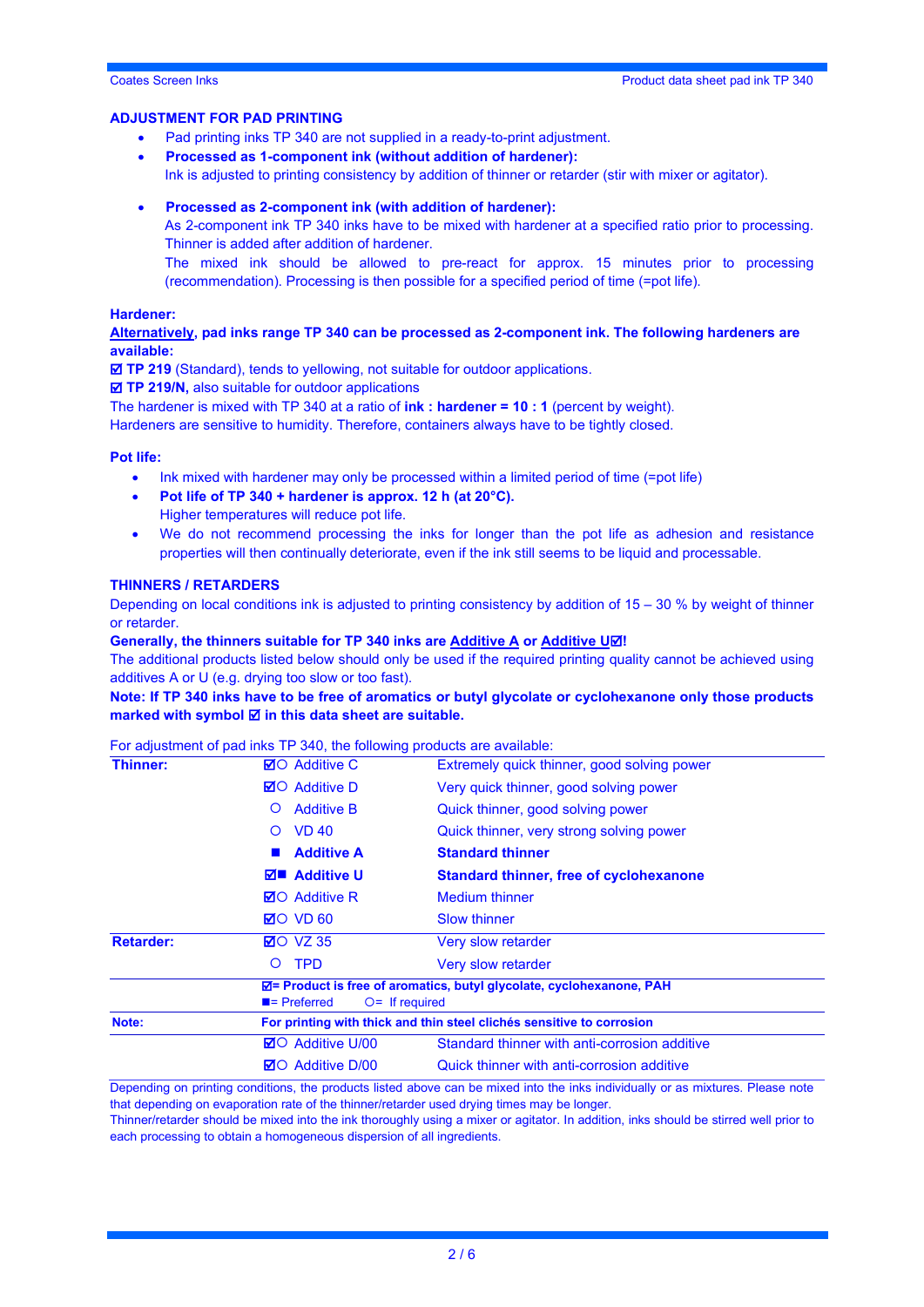#### **ADJUSTMENT FOR PAD PRINTING**

- Pad printing inks TP 340 are not supplied in a ready-to-print adjustment.
- **Processed as 1-component ink (without addition of hardener):**
- Ink is adjusted to printing consistency by addition of thinner or retarder (stir with mixer or agitator).
- **Processed as 2-component ink (with addition of hardener):**
	- As 2-component ink TP 340 inks have to be mixed with hardener at a specified ratio prior to processing. Thinner is added after addition of hardener.
	- The mixed ink should be allowed to pre-react for approx. 15 minutes prior to processing (recommendation). Processing is then possible for a specified period of time (=pot life).

#### **Hardener:**

**Alternatively, pad inks range TP 340 can be processed as 2-component ink. The following hardeners are available:**

**TP 219** (Standard), tends to yellowing, not suitable for outdoor applications.

■ **TP 219/N,** also suitable for outdoor applications

The hardener is mixed with TP 340 at a ratio of **ink : hardener = 10 : 1** (percent by weight).

Hardeners are sensitive to humidity. Therefore, containers always have to be tightly closed.

#### **Pot life:**

- Ink mixed with hardener may only be processed within a limited period of time (=pot life)
- **Pot life of TP 340 + hardener is approx. 12 h (at 20°C).** Higher temperatures will reduce pot life.
- We do not recommend processing the inks for longer than the pot life as adhesion and resistance properties will then continually deteriorate, even if the ink still seems to be liquid and processable.

#### **THINNERS / RETARDERS**

Depending on local conditions ink is adjusted to printing consistency by addition of  $15 - 30$  % by weight of thinner or retarder.

#### **Generally, the thinners suitable for TP 340 inks are Additive A or Additive U!**

The additional products listed below should only be used if the required printing quality cannot be achieved using additives A or U (e.g. drying too slow or too fast).

**Note: If TP 340 inks have to be free of aromatics or butyl glycolate or cyclohexanone only those products marked with symbol <b>Ø** in this data sheet are suitable.

For adjustment of pad inks TP 340, the following products are available:

Depending on printing conditions, the products listed above can be mixed into the inks individually or as mixtures. Please note that depending on evaporation rate of the thinner/retarder used drying times may be longer.

Thinner/retarder should be mixed into the ink thoroughly using a mixer or agitator. In addition, inks should be stirred well prior to each processing to obtain a homogeneous dispersion of all ingredients.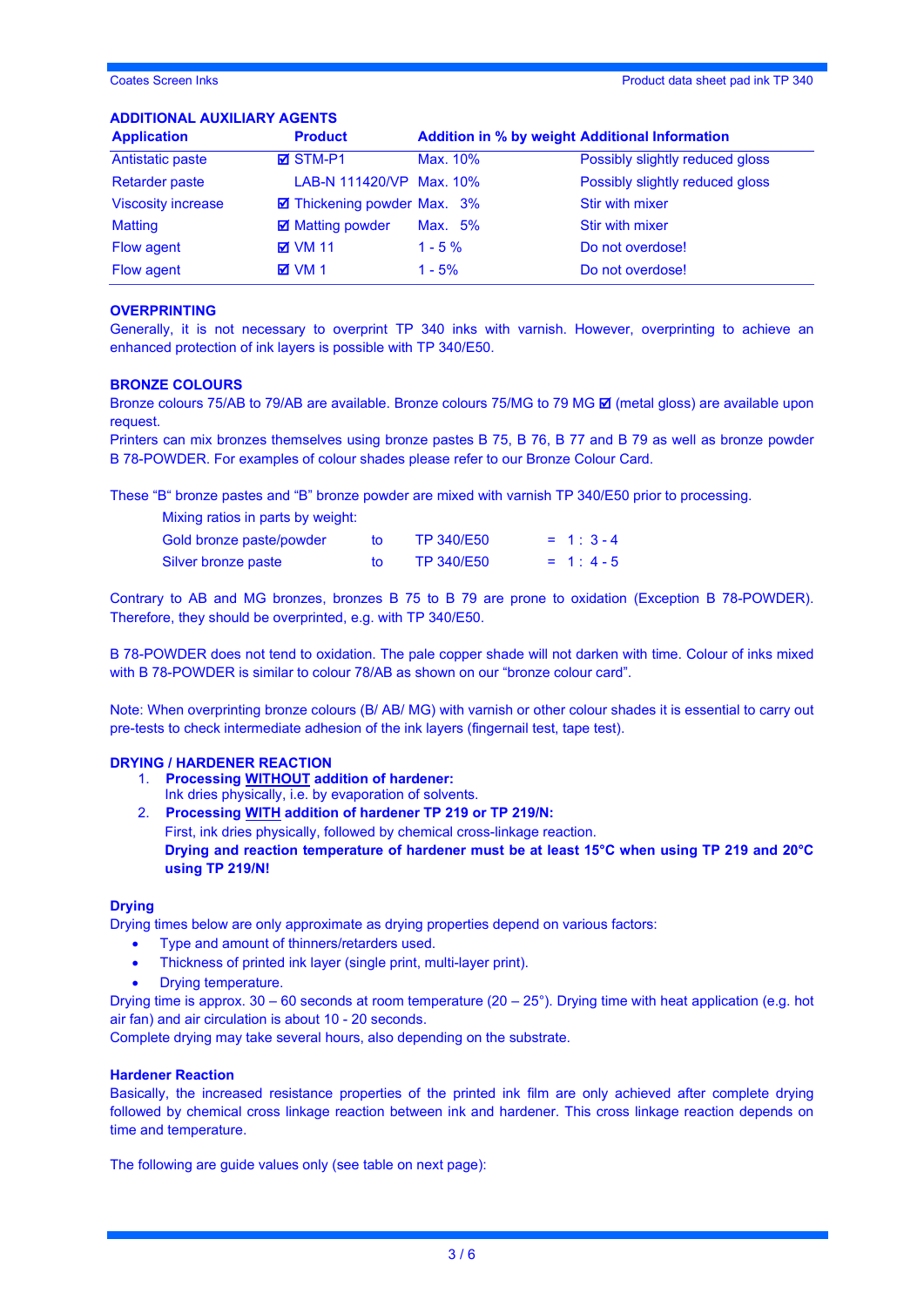#### **ADDITIONAL AUXILIARY AGENTS**

| <b>Application</b>        | <b>Product</b>              | <b>Addition in % by weight Additional Information</b> |                                 |
|---------------------------|-----------------------------|-------------------------------------------------------|---------------------------------|
| Antistatic paste          | $\times$ STM-P1             | Max. 10%                                              | Possibly slightly reduced gloss |
| <b>Retarder paste</b>     | LAB-N 111420/VP Max. 10%    |                                                       | Possibly slightly reduced gloss |
| <b>Viscosity increase</b> | ☑ Thickening powder Max. 3% |                                                       | <b>Stir with mixer</b>          |
| <b>Matting</b>            | <b>☑</b> Matting powder     | Max. 5%                                               | Stir with mixer                 |
| Flow agent                | <b>⊠</b> VM 11              | $1 - 5 \%$                                            | Do not overdose!                |
| Flow agent                | $M$ VM 1                    | $1 - 5%$                                              | Do not overdose!                |

#### **OVERPRINTING**

Generally, it is not necessary to overprint TP 340 inks with varnish. However, overprinting to achieve an enhanced protection of ink layers is possible with TP 340/E50.

#### **BRONZE COLOURS**

Bronze colours 75/AB to 79/AB are available. Bronze colours 75/MG to 79 MG  $\boxtimes$  (metal gloss) are available upon request.

Printers can mix bronzes themselves using bronze pastes B 75, B 76, B 77 and B 79 as well as bronze powder B 78-POWDER. For examples of colour shades please refer to our Bronze Colour Card.

These "B" bronze pastes and "B" bronze powder are mixed with varnish TP 340/E50 prior to processing.

| Mixing ratios in parts by weight: |              |                   |            |
|-----------------------------------|--------------|-------------------|------------|
| Gold bronze paste/powder          | tΩ           | TP 340/E50        | $= 1:3-4$  |
| Silver bronze paste               | $t_{\Omega}$ | <b>TP 340/E50</b> | $= 1: 4-5$ |

Contrary to AB and MG bronzes, bronzes B 75 to B 79 are prone to oxidation (Exception B 78-POWDER). Therefore, they should be overprinted, e.g. with TP 340/E50.

B 78-POWDER does not tend to oxidation. The pale copper shade will not darken with time. Colour of inks mixed with B 78-POWDER is similar to colour 78/AB as shown on our "bronze colour card".

Note: When overprinting bronze colours (B/ AB/ MG) with varnish or other colour shades it is essential to carry out pre-tests to check intermediate adhesion of the ink layers (fingernail test, tape test).

#### **DRYING / HARDENER REACTION**

- 1. **Processing WITHOUT addition of hardener:** Ink dries physically, i.e. by evaporation of solvents.
- 2. **Processing WITH addition of hardener TP 219 or TP 219/N:** First, ink dries physically, followed by chemical cross-linkage reaction. **Drying and reaction temperature of hardener must be at least 15°C when using TP 219 and 20°C using TP 219/N!**

#### **Drying**

Drying times below are only approximate as drying properties depend on various factors:

- Type and amount of thinners/retarders used.
- Thickness of printed ink layer (single print, multi-layer print).
	- Drying temperature.

Drying time is approx. 30 – 60 seconds at room temperature (20 – 25°). Drying time with heat application (e.g. hot air fan) and air circulation is about 10 - 20 seconds.

Complete drying may take several hours, also depending on the substrate.

#### **Hardener Reaction**

Basically, the increased resistance properties of the printed ink film are only achieved after complete drying followed by chemical cross linkage reaction between ink and hardener. This cross linkage reaction depends on time and temperature.

The following are guide values only (see table on next page):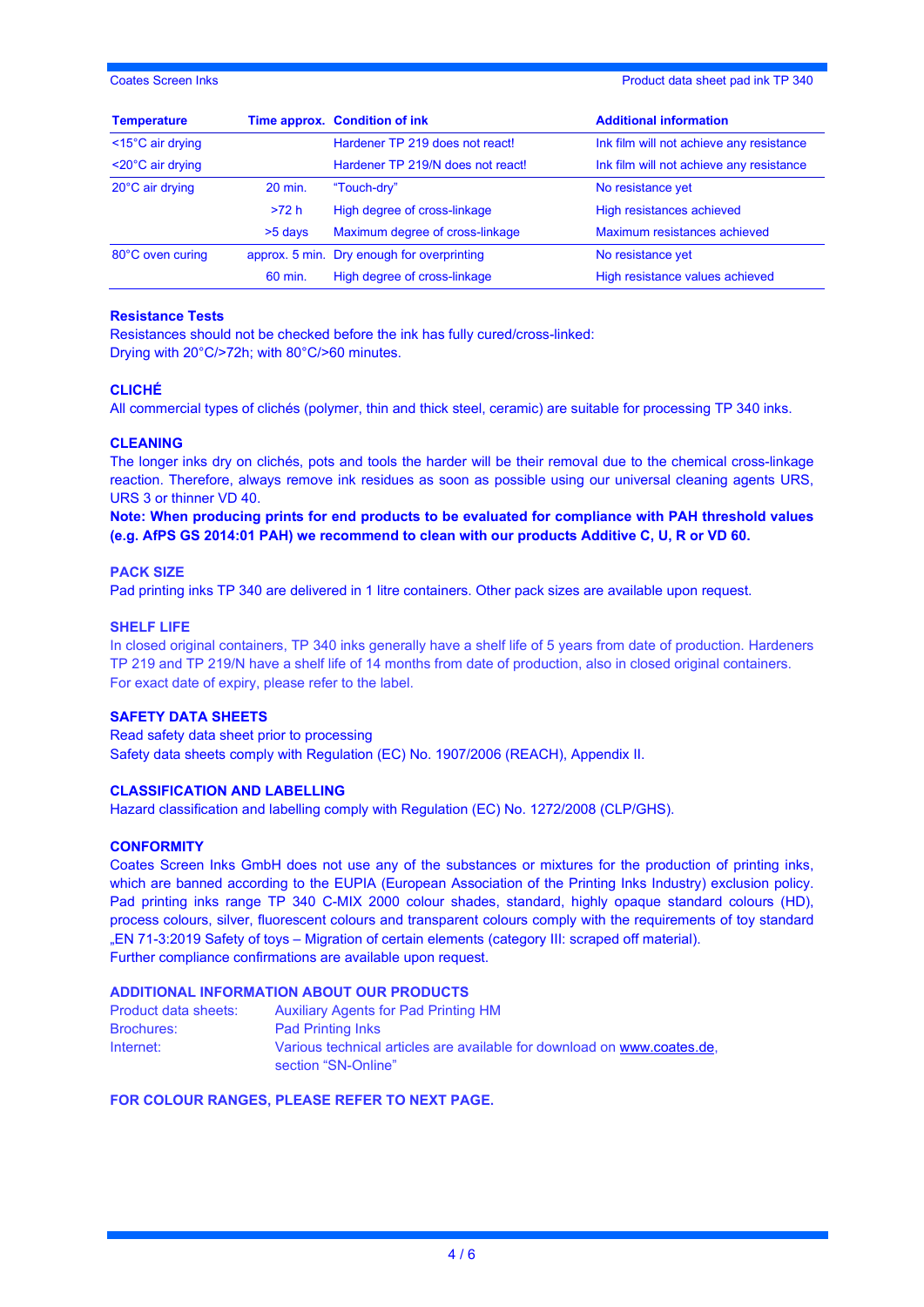Coates Screen Inks Product data sheet pad ink TP 340

| <b>Temperature</b>             |         | Time approx. Condition of ink              | <b>Additional information</b>            |
|--------------------------------|---------|--------------------------------------------|------------------------------------------|
| $<$ 15 $^{\circ}$ C air drying |         | Hardener TP 219 does not react!            | Ink film will not achieve any resistance |
| $<$ 20 $^{\circ}$ C air drying |         | Hardener TP 219/N does not react!          | Ink film will not achieve any resistance |
| 20°C air drying                | 20 min. | "Touch-dry"                                | No resistance yet                        |
|                                | >72 h   | High degree of cross-linkage               | High resistances achieved                |
|                                | >5 days | Maximum degree of cross-linkage            | Maximum resistances achieved             |
| 80°C oven curing               |         | approx. 5 min. Dry enough for overprinting | No resistance yet                        |
|                                | 60 min. | High degree of cross-linkage               | High resistance values achieved          |

#### **Resistance Tests**

Resistances should not be checked before the ink has fully cured/cross-linked: Drying with 20°C/>72h; with 80°C/>60 minutes.

#### **CLICHÉ**

All commercial types of clichés (polymer, thin and thick steel, ceramic) are suitable for processing TP 340 inks.

#### **CLEANING**

The longer inks dry on clichés, pots and tools the harder will be their removal due to the chemical cross-linkage reaction. Therefore, always remove ink residues as soon as possible using our universal cleaning agents URS, URS 3 or thinner VD 40.

**Note: When producing prints for end products to be evaluated for compliance with PAH threshold values (e.g. AfPS GS 2014:01 PAH) we recommend to clean with our products Additive C, U, R or VD 60.** 

#### **PACK SIZE**

Pad printing inks TP 340 are delivered in 1 litre containers. Other pack sizes are available upon request.

#### **SHELF LIFE**

In closed original containers, TP 340 inks generally have a shelf life of 5 years from date of production. Hardeners TP 219 and TP 219/N have a shelf life of 14 months from date of production, also in closed original containers. For exact date of expiry, please refer to the label.

#### **SAFETY DATA SHEETS**

Read safety data sheet prior to processing Safety data sheets comply with Regulation (EC) No. 1907/2006 (REACH), Appendix II.

#### **CLASSIFICATION AND LABELLING**

Hazard classification and labelling comply with Regulation (EC) No. 1272/2008 (CLP/GHS).

#### **CONFORMITY**

Coates Screen Inks GmbH does not use any of the substances or mixtures for the production of printing inks, which are banned according to the EUPIA (European Association of the Printing Inks Industry) exclusion policy. Pad printing inks range TP 340 C-MIX 2000 colour shades, standard, highly opaque standard colours (HD), process colours, silver, fluorescent colours and transparent colours comply with the requirements of toy standard "EN 71-3:2019 Safety of toys – Migration of certain elements (category III: scraped off material). Further compliance confirmations are available upon request.

#### **ADDITIONAL INFORMATION ABOUT OUR PRODUCTS**

| Product data sheets: | <b>Auxiliary Agents for Pad Printing HM</b>                                                    |
|----------------------|------------------------------------------------------------------------------------------------|
| <b>Brochures:</b>    | <b>Pad Printing Inks</b>                                                                       |
| Internet:            | Various technical articles are available for download on www.coates.de.<br>section "SN-Online" |

#### **FOR COLOUR RANGES, PLEASE REFER TO NEXT PAGE.**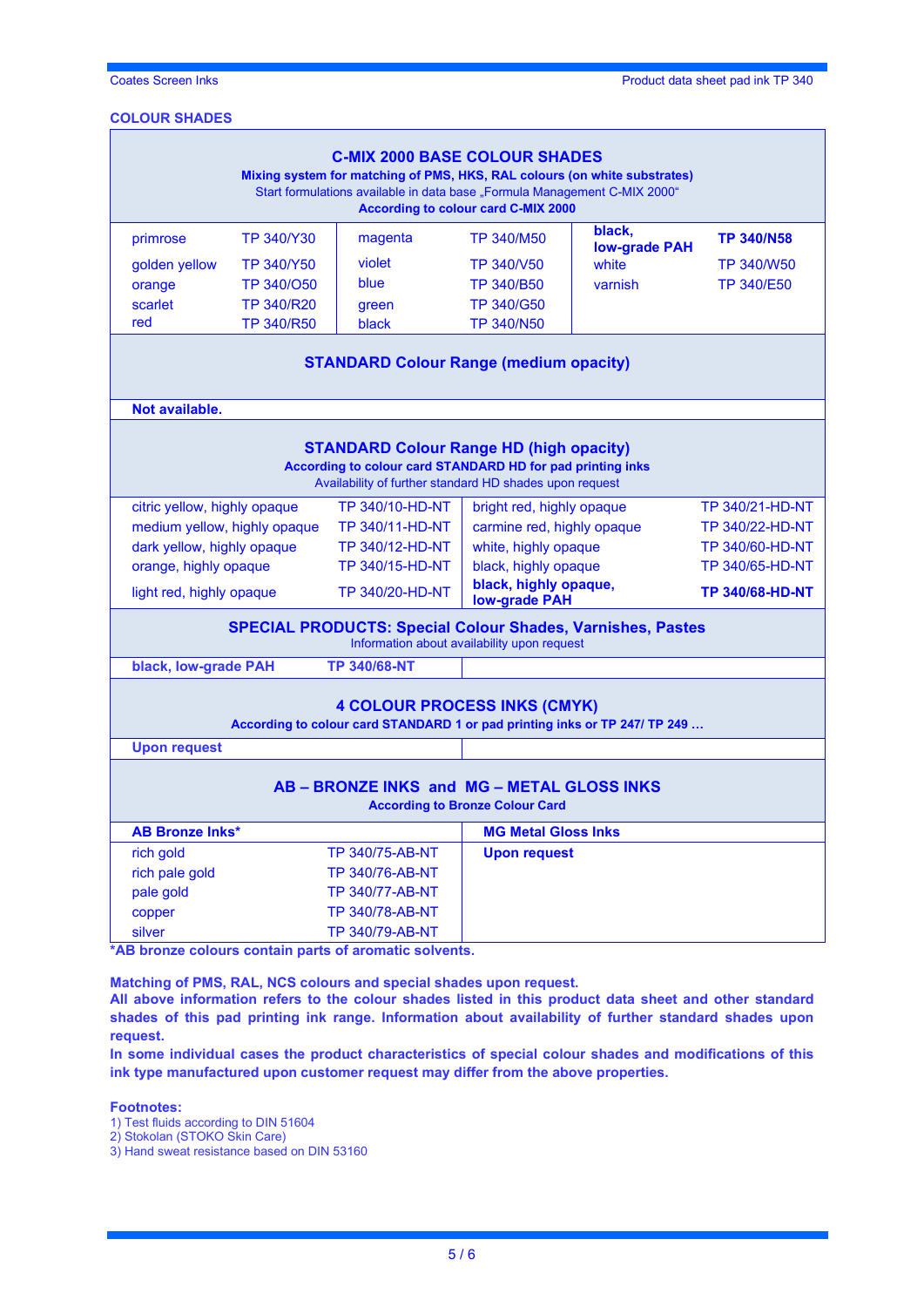**Coates Screen Inks Product data sheet pad ink TP 340** 

## **COLOUR SHADES**

| <b>C-MIX 2000 BASE COLOUR SHADES</b><br>Mixing system for matching of PMS, HKS, RAL colours (on white substrates)<br>Start formulations available in data base "Formula Management C-MIX 2000"<br>According to colour card C-MIX 2000 |                   |         |                   |                                |                   |
|---------------------------------------------------------------------------------------------------------------------------------------------------------------------------------------------------------------------------------------|-------------------|---------|-------------------|--------------------------------|-------------------|
| primrose                                                                                                                                                                                                                              | <b>TP 340/Y30</b> | magenta | <b>TP 340/M50</b> | black,<br><b>low-grade PAH</b> | <b>TP 340/N58</b> |
| golden yellow                                                                                                                                                                                                                         | <b>TP 340/Y50</b> | violet  | <b>TP 340/V50</b> | white                          | <b>TP 340/W50</b> |
| orange                                                                                                                                                                                                                                | TP 340/050        | blue    | <b>TP 340/B50</b> | varnish                        | <b>TP 340/E50</b> |
| scarlet                                                                                                                                                                                                                               | <b>TP 340/R20</b> | green   | <b>TP 340/G50</b> |                                |                   |
| red                                                                                                                                                                                                                                   | <b>TP 340/R50</b> | black   | <b>TP 340/N50</b> |                                |                   |
| <b>OTANDADD O</b> slavy Danna (madisma angalis)                                                                                                                                                                                       |                   |         |                   |                                |                   |

#### **STANDARD Colour Range (medium opacity)**

| Not available.                                                                                                                                                          |                        |                                               |                        |  |  |
|-------------------------------------------------------------------------------------------------------------------------------------------------------------------------|------------------------|-----------------------------------------------|------------------------|--|--|
| <b>STANDARD Colour Range HD (high opacity)</b><br>According to colour card STANDARD HD for pad printing inks<br>Availability of further standard HD shades upon request |                        |                                               |                        |  |  |
| citric yellow, highly opaque                                                                                                                                            | TP 340/10-HD-NT        | bright red, highly opaque                     | <b>TP 340/21-HD-NT</b> |  |  |
| medium yellow, highly opaque                                                                                                                                            | <b>TP 340/11-HD-NT</b> | carmine red, highly opaque                    | TP 340/22-HD-NT        |  |  |
| dark yellow, highly opaque                                                                                                                                              | TP 340/12-HD-NT        | white, highly opaque                          | <b>TP 340/60-HD-NT</b> |  |  |
| orange, highly opaque                                                                                                                                                   | <b>TP 340/15-HD-NT</b> | black, highly opaque                          | TP 340/65-HD-NT        |  |  |
| light red, highly opaque                                                                                                                                                | TP 340/20-HD-NT        | black, highly opaque,<br><b>low-grade PAH</b> | <b>TP 340/68-HD-NT</b> |  |  |
| <b>SPECIAL PRODUCTS: Special Colour Shades, Varnishes, Pastes</b><br>Information about availability upon request                                                        |                        |                                               |                        |  |  |
| black, low-grade PAH                                                                                                                                                    | <b>TP 340/68-NT</b>    |                                               |                        |  |  |
| <b>4 COLOUR PROCESS INKS (CMYK)</b><br>According to colour card STANDARD 1 or pad printing inks or TP 247/ TP 249                                                       |                        |                                               |                        |  |  |
| <b>Upon request</b>                                                                                                                                                     |                        |                                               |                        |  |  |
| AB - BRONZE INKS and MG - METAL GLOSS INKS<br><b>According to Bronze Colour Card</b>                                                                                    |                        |                                               |                        |  |  |
| <b>AB Bronze Inks*</b><br><b>MG Metal Gloss Inks</b>                                                                                                                    |                        |                                               |                        |  |  |
| rich gold                                                                                                                                                               | <b>TP 340/75-AB-NT</b> | <b>Upon request</b>                           |                        |  |  |
| rich pale gold                                                                                                                                                          | <b>TP 340/76-AB-NT</b> |                                               |                        |  |  |
| pale gold                                                                                                                                                               | <b>TP 340/77-AB-NT</b> |                                               |                        |  |  |
| copper                                                                                                                                                                  | TP 340/78-AB-NT        |                                               |                        |  |  |
| silver                                                                                                                                                                  | <b>TP 340/79-AB-NT</b> |                                               |                        |  |  |

**\*AB bronze colours contain parts of aromatic solvents.** 

**Matching of PMS, RAL, NCS colours and special shades upon request.**

**All above information refers to the colour shades listed in this product data sheet and other standard shades of this pad printing ink range. Information about availability of further standard shades upon request.** 

**In some individual cases the product characteristics of special colour shades and modifications of this ink type manufactured upon customer request may differ from the above properties.**

#### **Footnotes:**

- 1) Test fluids according to DIN 51604
- 2) Stokolan (STOKO Skin Care)

3) Hand sweat resistance based on DIN 53160